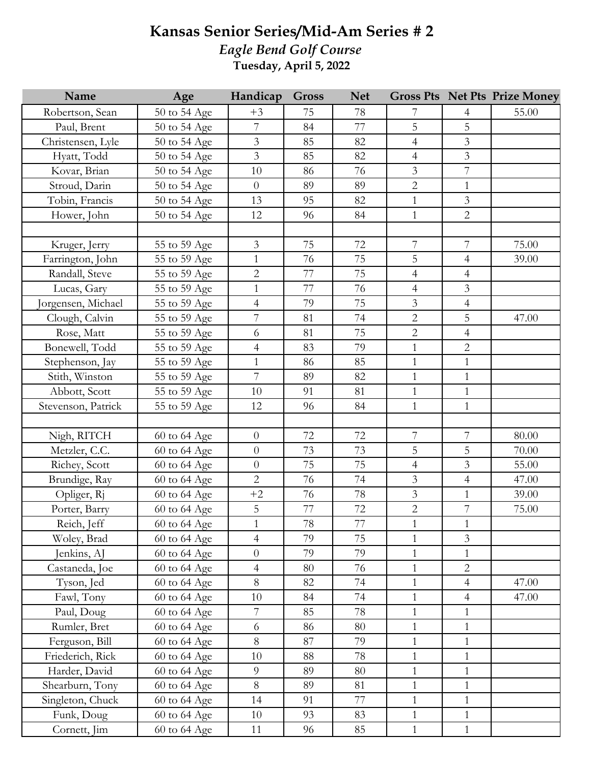## **Kansas Senior Series/Mid-Am Series # 2** *Eagle Bend Golf Course*

**Tuesday, April 5, 2022**

| Name               | Age              | Handicap       | <b>Gross</b> | <b>Net</b> |                |                  | <b>Gross Pts Net Pts Prize Money</b> |
|--------------------|------------------|----------------|--------------|------------|----------------|------------------|--------------------------------------|
| Robertson, Sean    | 50 to 54 Age     | $+3$           | 75           | 78         | 7              | 4                | 55.00                                |
| Paul, Brent        | 50 to 54 Age     | $\overline{7}$ | 84           | 77         | 5              | 5                |                                      |
| Christensen, Lyle  | 50 to 54 Age     | $\mathfrak{Z}$ | 85           | 82         | $\overline{4}$ | $\overline{3}$   |                                      |
| Hyatt, Todd        | 50 to 54 Age     | $\mathfrak{Z}$ | 85           | 82         | $\overline{4}$ | $\overline{3}$   |                                      |
| Kovar, Brian       | 50 to 54 Age     | 10             | 86           | 76         | $\mathfrak{Z}$ | $\overline{7}$   |                                      |
| Stroud, Darin      | 50 to 54 Age     | $\theta$       | 89           | 89         | $\mathbf 2$    | $\mathbf{1}$     |                                      |
| Tobin, Francis     | 50 to 54 Age     | 13             | 95           | 82         | $\mathbf{1}$   | $\overline{3}$   |                                      |
| Hower, John        | 50 to 54 Age     | 12             | 96           | 84         | $\mathbf{1}$   | $\overline{2}$   |                                      |
|                    |                  |                |              |            |                |                  |                                      |
| Kruger, Jerry      | 55 to 59 Age     | $\mathfrak{Z}$ | 75           | 72         | $\overline{7}$ | $\overline{7}$   | 75.00                                |
| Farrington, John   | 55 to 59 Age     | $\mathbf{1}$   | 76           | 75         | 5              | $\overline{4}$   | 39.00                                |
| Randall, Steve     | 55 to 59 Age     | $\mathbf{2}$   | 77           | 75         | $\overline{4}$ | $\overline{4}$   |                                      |
| Lucas, Gary        | 55 to 59 Age     | $\mathbf{1}$   | 77           | 76         | $\overline{4}$ | $\mathfrak{Z}$   |                                      |
| Jorgensen, Michael | 55 to 59 Age     | $\overline{4}$ | 79           | 75         | $\mathfrak{Z}$ | $\overline{4}$   |                                      |
| Clough, Calvin     | 55 to 59 Age     | $\overline{7}$ | 81           | 74         | $\overline{2}$ | 5                | 47.00                                |
| Rose, Matt         | 55 to 59 Age     | 6              | 81           | 75         | $\overline{2}$ | $\overline{4}$   |                                      |
| Bonewell, Todd     | 55 to 59 Age     | $\overline{4}$ | 83           | 79         | $\mathbf{1}$   | $\overline{2}$   |                                      |
| Stephenson, Jay    | 55 to 59 Age     | $\mathbf{1}$   | 86           | 85         | $\mathbf{1}$   | $\mathbf{1}$     |                                      |
| Stith, Winston     | 55 to 59 Age     | $\overline{7}$ | 89           | 82         | $\mathbf{1}$   | $\mathbf{1}$     |                                      |
| Abbott, Scott      | 55 to 59 Age     | 10             | 91           | 81         | $\mathbf{1}$   | $\mathbf{1}$     |                                      |
| Stevenson, Patrick | 55 to 59 Age     | 12             | 96           | 84         | $\mathbf{1}$   | $\mathbf{1}$     |                                      |
|                    |                  |                |              |            |                |                  |                                      |
| Nigh, RITCH        | 60 to 64 Age     | $\theta$       | 72           | 72         | 7              | 7                | 80.00                                |
| Metzler, C.C.      | 60 to 64 Age     | $\theta$       | 73           | 73         | 5              | 5                | 70.00                                |
| Richey, Scott      | 60 to 64 Age     | $\theta$       | 75           | 75         | $\overline{4}$ | $\mathfrak{Z}$   | 55.00                                |
| Brundige, Ray      | 60 to 64 Age     | $\overline{2}$ | 76           | 74         | 3              | $\overline{4}$   | 47.00                                |
| Opliger, Rj        | 60 to 64 Age     | $+2$           | 76           | 78         | $\mathfrak{Z}$ | $\mathbf{1}$     | 39.00                                |
| Porter, Barry      | 60 to 64 Age     | $\mathbf 5$    | $77\,$       | 72         | $\sqrt{2}$     | $\boldsymbol{7}$ | 75.00                                |
| Reich, Jeff        | 60 to 64 Age     | $\mathbf{1}$   | $78\,$       | 77         | $\mathbf{1}$   | $1\,$            |                                      |
| Woley, Brad        | $60$ to $64$ Age | $\overline{4}$ | 79           | 75         | $\mathbf{1}$   | $\overline{3}$   |                                      |
| Jenkins, AJ        | 60 to 64 Age     | $\overline{0}$ | 79           | 79         | $\mathbf{1}$   | $\mathbf{1}$     |                                      |
| Castaneda, Joe     | 60 to 64 Age     | $\overline{4}$ | 80           | 76         | $\mathbf{1}$   | $\overline{2}$   |                                      |
| Tyson, Jed         | 60 to 64 Age     | 8              | 82           | 74         | $\mathbf{1}$   | $\overline{4}$   | 47.00                                |
| Fawl, Tony         | 60 to 64 Age     | 10             | 84           | 74         | $\mathbf{1}$   | $\overline{4}$   | 47.00                                |
| Paul, Doug         | 60 to 64 Age     | $\overline{7}$ | 85           | 78         | $\mathbf{1}$   | $\mathbf{1}$     |                                      |
| Rumler, Bret       | 60 to 64 Age     | 6              | 86           | 80         | $\mathbf{1}$   | 1                |                                      |
| Ferguson, Bill     | 60 to 64 Age     | 8              | 87           | 79         | $\mathbf{1}$   | $\mathbf{1}$     |                                      |
| Friederich, Rick   | 60 to 64 Age     | 10             | 88           | 78         | $\mathbf{1}$   | $\mathbf{1}$     |                                      |
| Harder, David      | 60 to 64 Age     | 9              | 89           | 80         | $\mathbf{1}$   | $\mathbf{1}$     |                                      |
| Shearburn, Tony    | 60 to 64 Age     | 8              | 89           | 81         | $\mathbf{1}$   | $\mathbf{1}$     |                                      |
| Singleton, Chuck   | 60 to 64 Age     | 14             | 91           | 77         | $\mathbf{1}$   | $\mathbf{1}$     |                                      |
| Funk, Doug         | 60 to 64 Age     | 10             | 93           | 83         | $\mathbf{1}$   | $\mathbf{1}$     |                                      |
| Cornett, Jim       | 60 to 64 Age     | 11             | 96           | 85         | $\mathbf{1}$   | $\mathbf{1}$     |                                      |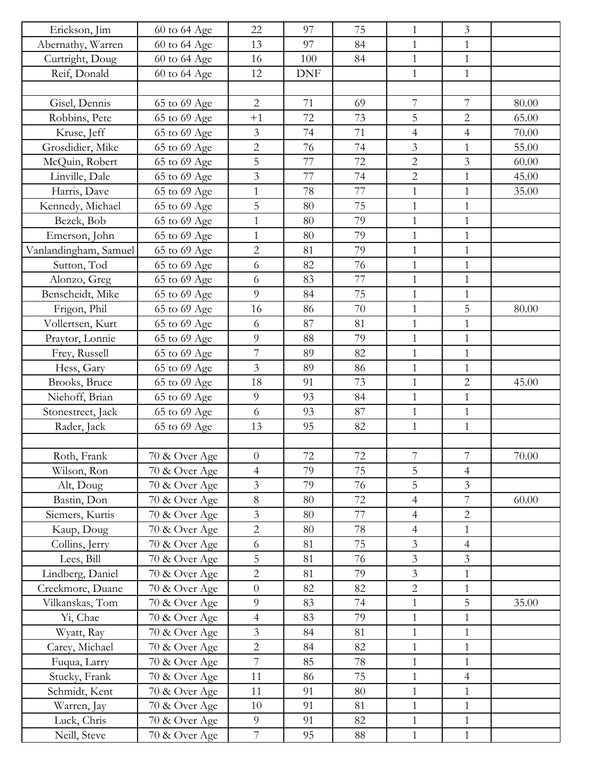| Erickson, Jim         | 60 to 64 Age  | 22               | 97         | 75 | $\mathbf{1}$             | $\overline{3}$ |       |
|-----------------------|---------------|------------------|------------|----|--------------------------|----------------|-------|
| Abernathy, Warren     | 60 to 64 Age  | 13               | 97         | 84 | $\mathbf{1}$             | $\mathbf{1}$   |       |
| Curtright, Doug       | 60 to 64 Age  | 16               | 100        | 84 | $\mathbf{1}$             | $\mathbf{1}$   |       |
| Reif, Donald          | 60 to 64 Age  | 12               | <b>DNF</b> |    | $\mathbf{1}$             | $\mathbf{1}$   |       |
|                       |               |                  |            |    |                          |                |       |
| Gisel, Dennis         | 65 to 69 Age  | $\overline{2}$   | 71         | 69 | 7                        | 7              | 80.00 |
| Robbins, Pete         | 65 to 69 Age  | $+1$             | 72         | 73 | 5                        | $\overline{2}$ | 65.00 |
| Kruse, Jeff           | 65 to 69 Age  | 3                | 74         | 71 | $\overline{4}$           | $\overline{4}$ | 70.00 |
| Grosdidier, Mike      | 65 to 69 Age  | $\sqrt{2}$       | 76         | 74 | $\mathfrak{Z}$           | $\mathbf{1}$   | 55.00 |
| McQuin, Robert        | 65 to 69 Age  | 5                | 77         | 72 | $\overline{2}$           | $\overline{3}$ | 60.00 |
| Linville, Dale        | 65 to 69 Age  | $\mathfrak{Z}$   | 77         | 74 | $\overline{2}$           | $\mathbf{1}$   | 45.00 |
| Harris, Dave          | 65 to 69 Age  | $\mathbf{1}$     | 78         | 77 | $\mathbf{1}$             | $\mathbf{1}$   | 35.00 |
| Kennedy, Michael      | 65 to 69 Age  | 5                | 80         | 75 | $\mathbf{1}$             | $\mathbf{1}$   |       |
| Bezek, Bob            | 65 to 69 Age  | $\mathbf{1}$     | 80         | 79 | $\mathbf{1}$             | $\mathbf{1}$   |       |
| Emerson, John         | 65 to 69 Age  | $\mathbf{1}$     | 80         | 79 | $\mathbf{1}$             | $\mathbf{1}$   |       |
| Vanlandingham, Samuel | 65 to 69 Age  | $\overline{2}$   | 81         | 79 | $\mathbf{1}$             | $\mathbf{1}$   |       |
| Sutton, Tod           | 65 to 69 Age  | 6                | 82         | 76 | $\mathbf{1}$             | $\mathbf{1}$   |       |
| Alonzo, Greg          | 65 to 69 Age  | 6                | 83         | 77 | $\mathbf{1}$             | $\mathbf{1}$   |       |
| Benscheidt, Mike      | 65 to 69 Age  | 9                | 84         | 75 | $\mathbf{1}$             | $\mathbf{1}$   |       |
| Frigon, Phil          | 65 to 69 Age  | 16               | 86         | 70 | $\mathbf{1}$             | 5              | 80.00 |
| Vollertsen, Kurt      | 65 to 69 Age  | 6                | 87         | 81 | $\mathbf{1}$             | $\mathbf{1}$   |       |
| Praytor, Lonnie       | 65 to 69 Age  | 9                | 88         | 79 | $\mathbf{1}$             | $\mathbf{1}$   |       |
| Frey, Russell         | 65 to 69 Age  | $\overline{7}$   | 89         | 82 | $\mathbf{1}$             | $\mathbf{1}$   |       |
| Hess, Gary            | 65 to 69 Age  | $\mathfrak{Z}$   | 89         | 86 | $\mathbf{1}$             | $\mathbf{1}$   |       |
| Brooks, Bruce         | 65 to 69 Age  | 18               | 91         | 73 | $\mathbf{1}$             | $\overline{2}$ | 45.00 |
| Niehoff, Brian        | 65 to 69 Age  | 9                | 93         | 84 | $\mathbf{1}$             | $\mathbf{1}$   |       |
| Stonestreet, Jack     | 65 to 69 Age  | 6                | 93         | 87 | $\mathbf{1}$             | $\mathbf{1}$   |       |
| Rader, Jack           | 65 to 69 Age  | 13               | 95         | 82 | $\mathbf{1}$             | $\mathbf{1}$   |       |
|                       |               |                  |            |    |                          |                |       |
| Roth, Frank           | 70 & Over Age | $\theta$         | 72         | 72 | 7                        | 7              | 70.00 |
| Wilson, Ron           | 70 & Over Age | $\overline{4}$   | 79         | 75 | 5                        | $\overline{4}$ |       |
| Alt, Doug             | 70 & Over Age | $\mathfrak{Z}$   | 79         | 76 | 5                        | 3              |       |
| Bastin, Don           | 70 & Over Age | $8\,$            | 80         | 72 | 4                        | $\overline{7}$ | 60.00 |
| Siemers, Kurtis       | 70 & Over Age | $\mathfrak{Z}$   | 80         | 77 | $\overline{\mathcal{A}}$ | $\overline{2}$ |       |
| Kaup, Doug            | 70 & Over Age | $\overline{2}$   | 80         | 78 | $\overline{4}$           | $\mathbf{1}$   |       |
| Collins, Jerry        | 70 & Over Age | 6                | 81         | 75 | 3                        | $\overline{4}$ |       |
| Lees, Bill            | 70 & Over Age | 5                | 81         | 76 | $\mathfrak{Z}$           | $\overline{3}$ |       |
| Lindberg, Daniel      | 70 & Over Age | $\overline{2}$   | 81         | 79 | $\overline{3}$           | $\mathbf{1}$   |       |
| Creekmore, Duane      | 70 & Over Age | $\theta$         | 82         | 82 | $\mathbf{2}$             | 1              |       |
| Vilkanskas, Tom       | 70 & Over Age | $\overline{9}$   | 83         | 74 | $\mathbf{1}$             | 5              | 35.00 |
| Yi, Chae              | 70 & Over Age | $\overline{4}$   | 83         | 79 | $\mathbf{1}$             | $\mathbf{1}$   |       |
| Wyatt, Ray            | 70 & Over Age | 3                | 84         | 81 | $\mathbf{1}$             | $\mathbf{1}$   |       |
| Carey, Michael        | 70 & Over Age | $\overline{2}$   | 84         | 82 | $\mathbf{1}$             | $\mathbf{1}$   |       |
| Fuqua, Larry          | 70 & Over Age | $\overline{7}$   | 85         | 78 | $\mathbf{1}$             | $\mathbf{1}$   |       |
| Stucky, Frank         | 70 & Over Age | 11               | 86         | 75 | $\mathbf{1}$             | $\overline{4}$ |       |
|                       |               | 11               |            | 80 |                          |                |       |
| Schmidt, Kent         | 70 & Over Age | 10               | 91<br>91   |    | $\mathbf 1$              | $\mathbf{1}$   |       |
| Warren, Jay           | 70 & Over Age |                  |            | 81 | $\mathbf{1}$             | $\mathbf{1}$   |       |
| Luck, Chris           | 70 & Over Age | 9                | 91         | 82 | $\mathbf{1}$             | $\mathbf{1}$   |       |
| Neill, Steve          | 70 & Over Age | $\boldsymbol{7}$ | 95         | 88 | $\mathbf{1}$             | $\mathbf{1}$   |       |